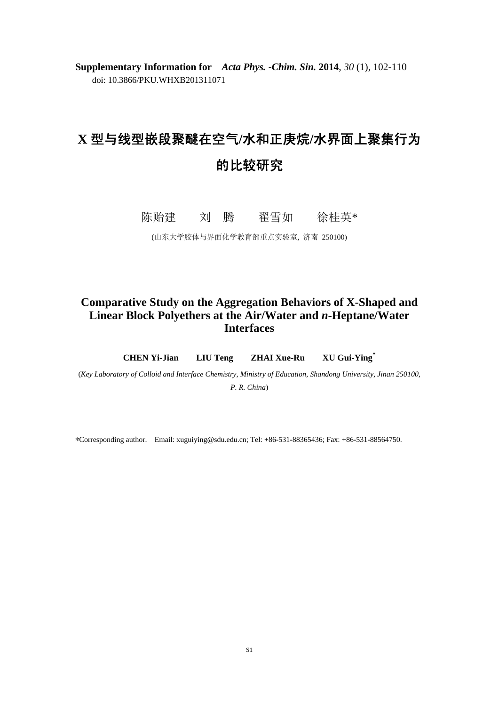**Supplementary Information for** *Acta Phys. -Chim. Sin.* **2014**, *30* (1), 102-110 doi: 10.3866/PKU.WHXB201311071

## **X** 型与线型嵌段聚醚在空气**/**水和正庚烷**/**水界面上聚集行为 的比较研究

陈贻建 刘 腾 翟雪如 徐桂英\*

(山东大学胶体与界面化学教育部重点实验室, 济南 250100)

## **Comparative Study on the Aggregation Behaviors of X-Shaped and Linear Block Polyethers at the Air/Water and** *n***-Heptane/Water Interfaces**

**CHEN Yi-Jian LIU Teng ZHAI Xue-Ru XU Gui-Ying\***

(*Key Laboratory of Colloid and Interface Chemistry, Ministry of Education, Shandong University, Jinan 250100, P. R. China*)

∗Corresponding author. Email: xuguiying@sdu.edu.cn; Tel: +86-531-88365436; Fax: +86-531-88564750.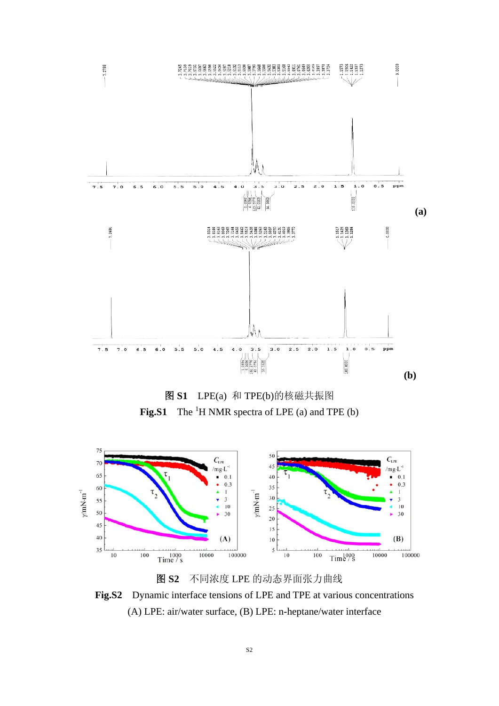





图 **S2** 不同浓度 LPE 的动态界面张力曲线 **Fig.S2** Dynamic interface tensions of LPE and TPE at various concentrations (A) LPE: air/water surface, (B) LPE: n-heptane/water interface